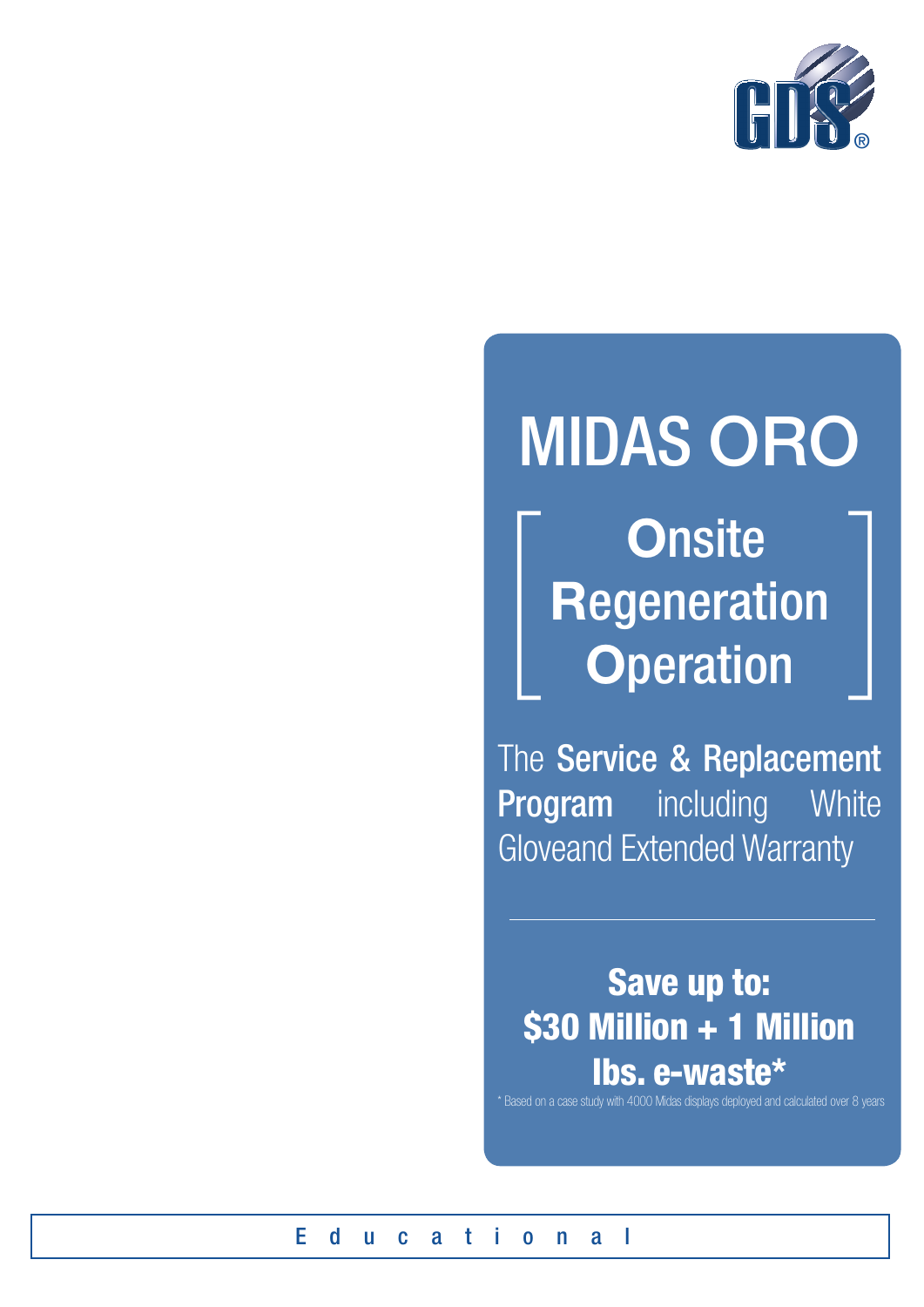

# **MIDAS ORO**

**Onsite Regeneration Operation** 

The Service & Replacement **Program** including White **Gloveand Extended Warranty** 

Save up to: \$30 Million + 1 Million lbs. e-waste\*

\* Based on a case study with 4000 Midas displays deployed and calculated over 8 years

E  $\mathbf d$  $a$  t i  $a<sub>l</sub>$  $\mathbf{u}$  $\mathbf{c}$  $0<sub>n</sub>$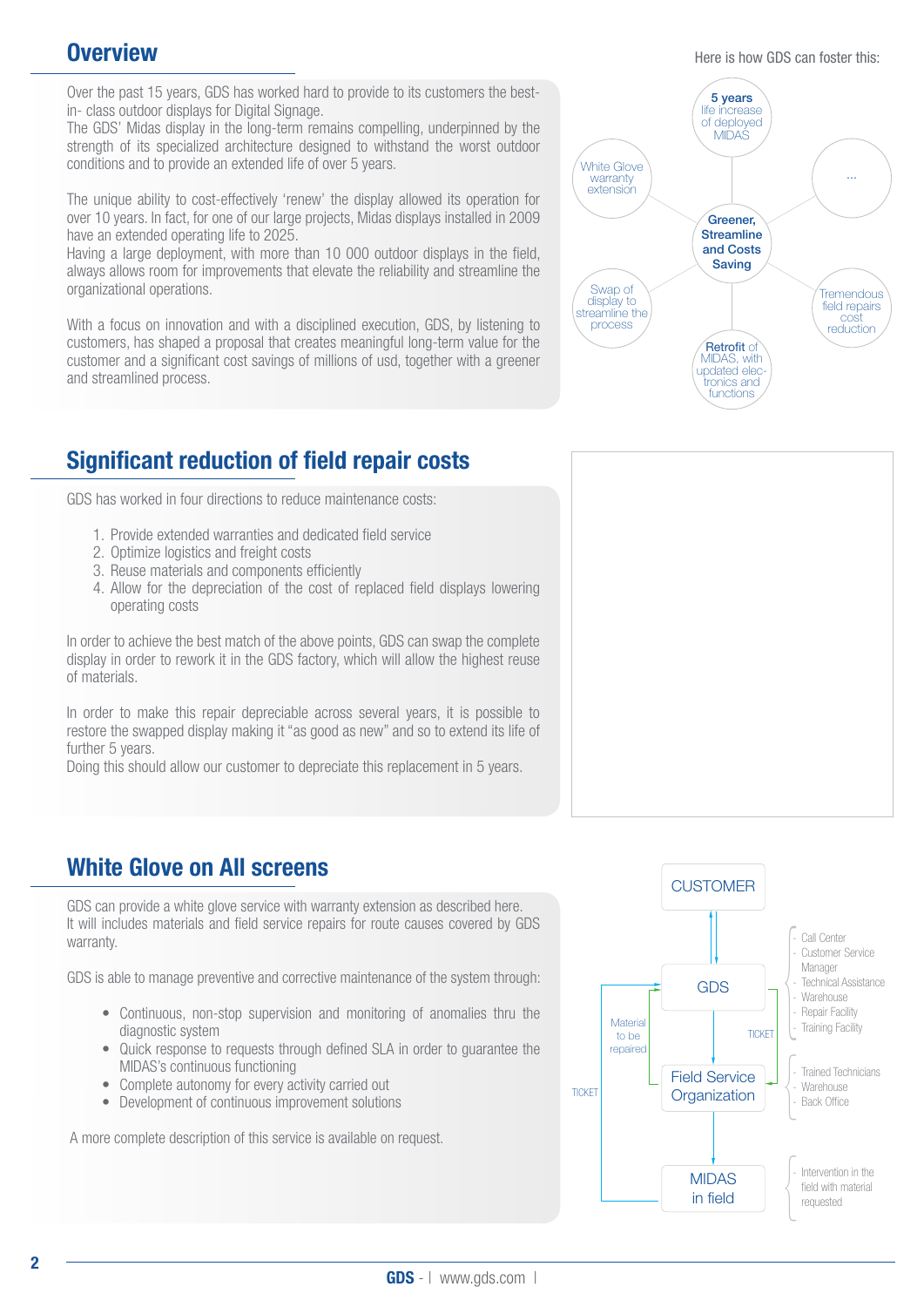## **Overview**

Over the past 15 years, GDS has worked hard to provide to its customers the bestin- class outdoor displays for Digital Signage.

The GDS' Midas display in the long-term remains compelling, underpinned by the strength of its specialized architecture designed to withstand the worst outdoor conditions and to provide an extended life of over 5 years.

The unique ability to cost-effectively 'renew' the display allowed its operation for over 10 years. In fact, for one of our large projects, Midas displays installed in 2009 have an extended operating life to 2025.

Having a large deployment, with more than 10 000 outdoor displays in the field, always allows room for improvements that elevate the reliability and streamline the organizational operations.

With a focus on innovation and with a disciplined execution, GDS, by listening to customers, has shaped a proposal that creates meaningful long-term value for the customer and a significant cost savings of millions of usd, together with a greener and streamlined process.

# Significant reduction of field repair costs

GDS has worked in four directions to reduce maintenance costs:

- 1. Provide extended warranties and dedicated field service
- 2. Optimize logistics and freight costs
- 3. Reuse materials and components efficiently
- 4. Allow for the depreciation of the cost of replaced field displays lowering operating costs

In order to achieve the best match of the above points, GDS can swap the complete display in order to rework it in the GDS factory, which will allow the highest reuse of materials.

In order to make this repair depreciable across several years, it is possible to restore the swapped display making it "as good as new" and so to extend its life of further 5 years.

Doing this should allow our customer to depreciate this replacement in 5 years.

# White Glove on All screens

GDS can provide a white glove service with warranty extension as described here. It will includes materials and field service repairs for route causes covered by GDS warranty.

GDS is able to manage preventive and corrective maintenance of the system through:

- Continuous, non-stop supervision and monitoring of anomalies thru the diagnostic system
- Quick response to requests through defined SLA in order to quarantee the MIDAS's continuous functioning
- Complete autonomy for every activity carried out
- Development of continuous improvement solutions

A more complete description of this service is available on request.





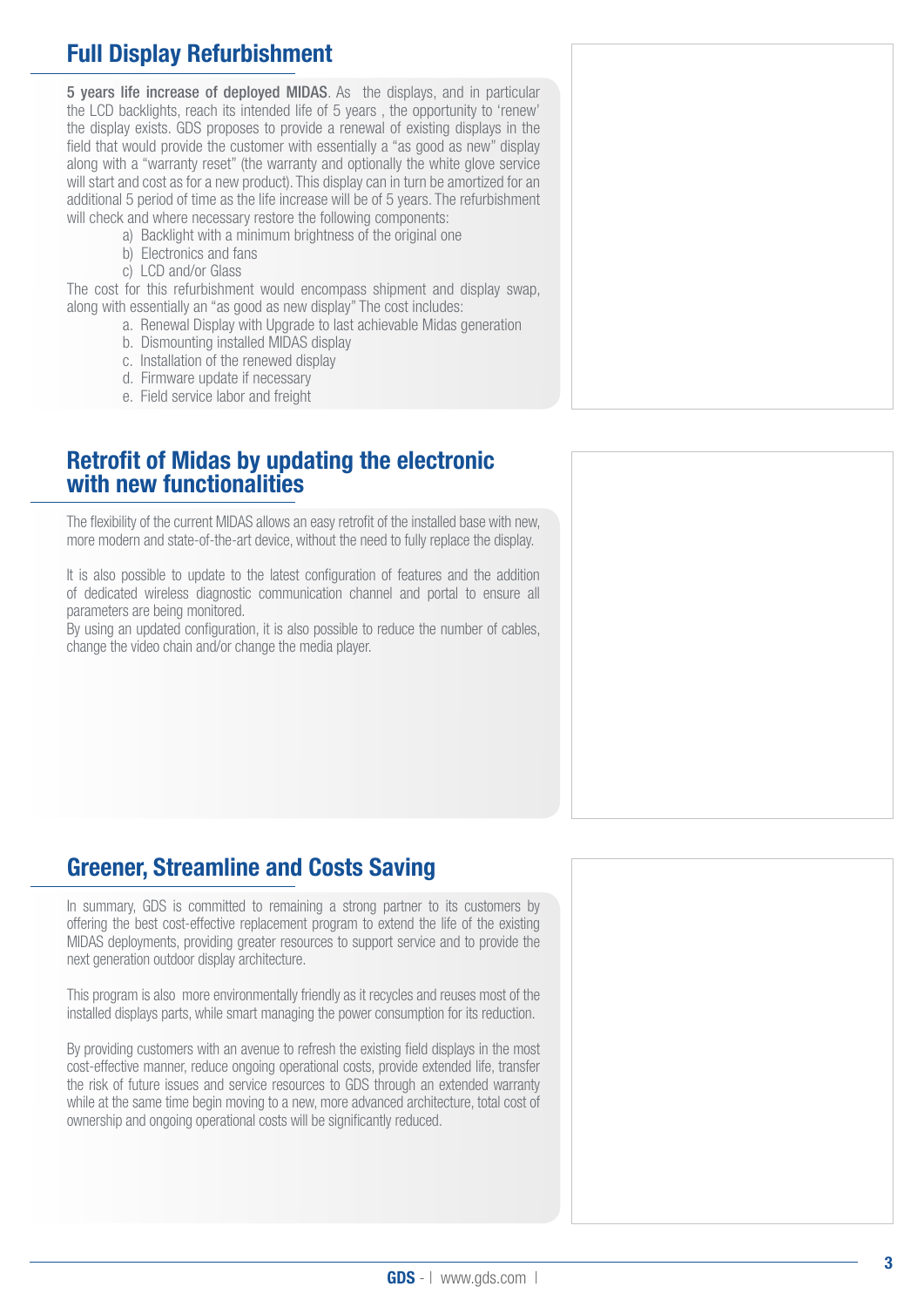# Full Display Refurbishment

5 years life increase of deployed MIDAS. As the displays, and in particular the LCD backlights, reach its intended life of 5 years , the opportunity to 'renew' the display exists. GDS proposes to provide a renewal of existing displays in the field that would provide the customer with essentially a "as good as new" display along with a "warranty reset" (the warranty and optionally the white glove service will start and cost as for a new product). This display can in turn be amortized for an additional 5 period of time as the life increase will be of 5 years. The refurbishment will check and where necessary restore the following components:

- a) Backlight with a minimum brightness of the original one
- b) Electronics and fans
- c) LCD and/or Glass

The cost for this refurbishment would encompass shipment and display swap, along with essentially an "as good as new display" The cost includes:

- a. Renewal Display with Upgrade to last achievable Midas generation
- b. Dismounting installed MIDAS display
- c. Installation of the renewed display
- d. Firmware update if necessary
- e. Field service labor and freight

#### Retrofit of Midas by updating the electronic with new functionalities

The flexibility of the current MIDAS allows an easy retrofit of the installed base with new, more modern and state-of-the-art device, without the need to fully replace the display.

It is also possible to update to the latest configuration of features and the addition of dedicated wireless diagnostic communication channel and portal to ensure all parameters are being monitored.

By using an updated configuration, it is also possible to reduce the number of cables, change the video chain and/or change the media player.

# Greener, Streamline and Costs Saving

In summary, GDS is committed to remaining a strong partner to its customers by offering the best cost-effective replacement program to extend the life of the existing MIDAS deployments, providing greater resources to support service and to provide the next generation outdoor display architecture.

This program is also more environmentally friendly as it recycles and reuses most of the installed displays parts, while smart managing the power consumption for its reduction.

By providing customers with an avenue to refresh the existing field displays in the most cost-effective manner, reduce ongoing operational costs, provide extended life, transfer the risk of future issues and service resources to GDS through an extended warranty while at the same time begin moving to a new, more advanced architecture, total cost of ownership and ongoing operational costs will be significantly reduced.